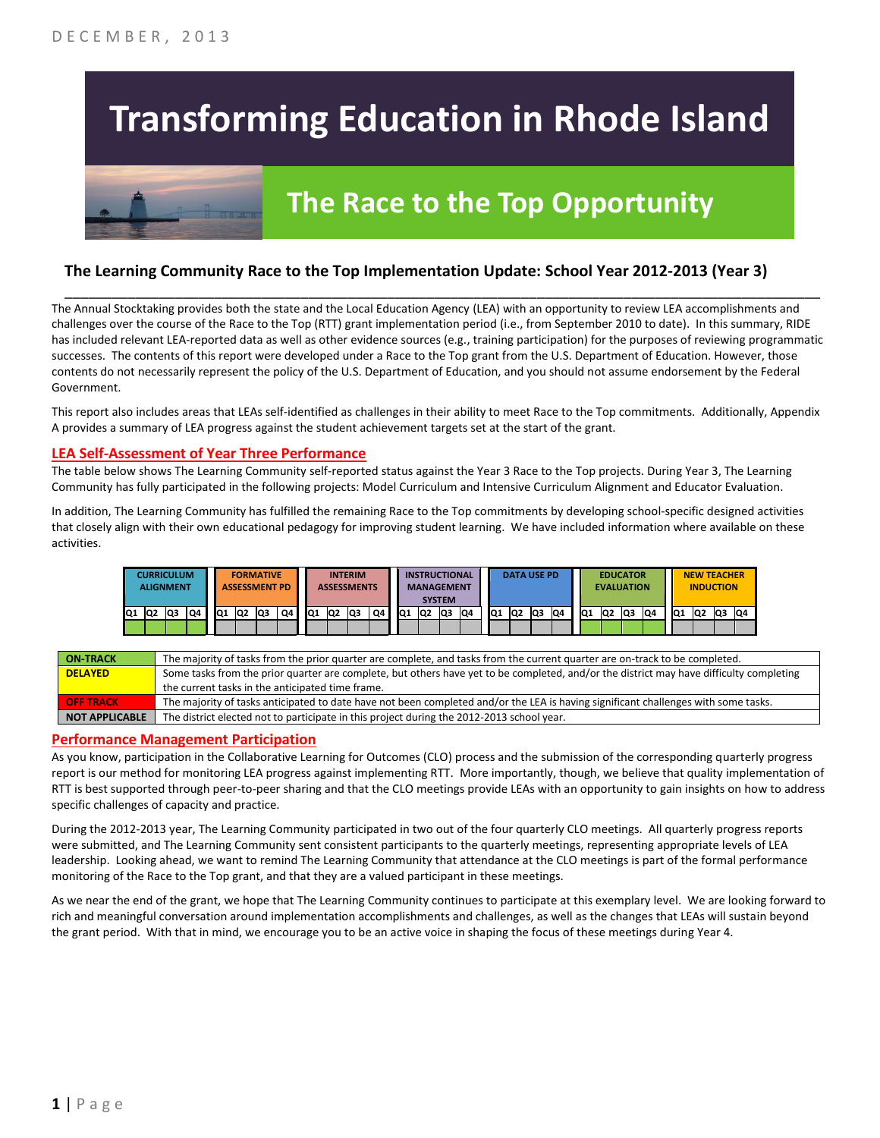# **Transforming Education in Rhode Island**



# **The Race to the Top Opportunity**

### **The Learning Community Race to the Top Implementation Update: School Year 2012-2013 (Year 3)**

The Annual Stocktaking provides both the state and the Local Education Agency (LEA) with an opportunity to review LEA accomplishments and challenges over the course of the Race to the Top (RTT) grant implementation period (i.e., from September 2010 to date). In this summary, RIDE has included relevant LEA-reported data as well as other evidence sources (e.g., training participation) for the purposes of reviewing programmatic successes. The contents of this report were developed under a Race to the Top grant from the U.S. Department of Education. However, those contents do not necessarily represent the policy of the U.S. Department of Education, and you should not assume endorsement by the Federal Government.

\_\_\_\_\_\_\_\_\_\_\_\_\_\_\_\_\_\_\_\_\_\_\_\_\_\_\_\_\_\_\_\_\_\_\_\_\_\_\_\_\_\_\_\_\_\_\_\_\_\_\_\_\_\_\_\_\_\_\_\_\_\_\_\_\_\_\_\_\_\_\_\_\_\_\_\_\_\_\_\_\_\_\_\_\_\_\_\_\_\_\_\_\_\_\_\_

This report also includes areas that LEAs self-identified as challenges in their ability to meet Race to the Top commitments. Additionally, Appendix A provides a summary of LEA progress against the student achievement targets set at the start of the grant.

#### **LEA Self-Assessment of Year Three Performance**

The table below shows The Learning Community self-reported status against the Year 3 Race to the Top projects. During Year 3, The Learning Community has fully participated in the following projects: Model Curriculum and Intensive Curriculum Alignment and Educator Evaluation.

In addition, The Learning Community has fulfilled the remaining Race to the Top commitments by developing school-specific designed activities that closely align with their own educational pedagogy for improving student learning. We have included information where available on these activities.

|    |                | <b>CURRICULUM</b><br><b>ALIGNMENT</b> |    |     |                | <b>FORMATIVE</b><br><b>ASSESSMENT PD</b> |    |     |                | <b>INTERIM</b><br><b>ASSESSMENTS</b> |    |                 |                | <b>INSTRUCTIONAL</b><br><b>MANAGEMENT</b><br><b>SYSTEM</b> |    |                 | <b>DATA USE PD</b> |     |    |                 | <b>EVALUATION</b> | <b>EDUCATOR</b> |    |                 |    | <b>NEW TEACHER</b><br><b>INDUCTION</b> |    |
|----|----------------|---------------------------------------|----|-----|----------------|------------------------------------------|----|-----|----------------|--------------------------------------|----|-----------------|----------------|------------------------------------------------------------|----|-----------------|--------------------|-----|----|-----------------|-------------------|-----------------|----|-----------------|----|----------------------------------------|----|
| Q1 | Q <sub>2</sub> | Q3                                    | Q4 | IQ1 | Q <sub>2</sub> | <b>Q3</b>                                | Q4 | lQ1 | Q <sub>2</sub> | lQ3                                  | Q4 | IQ <sub>1</sub> | Q <sub>2</sub> | <b>Q3</b>                                                  | Q4 | IQ <sub>1</sub> | IQ2                | lQ3 | Q4 | IQ <sub>1</sub> | IQ <sub>2</sub>   | lQ3             | Q4 | IQ <sub>1</sub> | Q2 | Q3                                     | Q4 |
|    |                |                                       |    |     |                |                                          |    |     |                |                                      |    |                 |                |                                                            |    |                 |                    |     |    |                 |                   |                 |    |                 |    |                                        |    |

| <b>ON-TRACK</b>       | The majority of tasks from the prior quarter are complete, and tasks from the current quarter are on-track to be completed.             |
|-----------------------|-----------------------------------------------------------------------------------------------------------------------------------------|
| <b>DELAYED</b>        | Some tasks from the prior quarter are complete, but others have yet to be completed, and/or the district may have difficulty completing |
|                       | the current tasks in the anticipated time frame.                                                                                        |
| <b>OFF TRACK</b>      | The majority of tasks anticipated to date have not been completed and/or the LEA is having significant challenges with some tasks.      |
| <b>NOT APPLICABLE</b> | The district elected not to participate in this project during the 2012-2013 school year.                                               |

#### **Performance Management Participation**

As you know, participation in the Collaborative Learning for Outcomes (CLO) process and the submission of the corresponding quarterly progress report is our method for monitoring LEA progress against implementing RTT. More importantly, though, we believe that quality implementation of RTT is best supported through peer-to-peer sharing and that the CLO meetings provide LEAs with an opportunity to gain insights on how to address specific challenges of capacity and practice.

During the 2012-2013 year, The Learning Community participated in two out of the four quarterly CLO meetings. All quarterly progress reports were submitted, and The Learning Community sent consistent participants to the quarterly meetings, representing appropriate levels of LEA leadership. Looking ahead, we want to remind The Learning Community that attendance at the CLO meetings is part of the formal performance monitoring of the Race to the Top grant, and that they are a valued participant in these meetings.

As we near the end of the grant, we hope that The Learning Community continues to participate at this exemplary level. We are looking forward to rich and meaningful conversation around implementation accomplishments and challenges, as well as the changes that LEAs will sustain beyond the grant period. With that in mind, we encourage you to be an active voice in shaping the focus of these meetings during Year 4.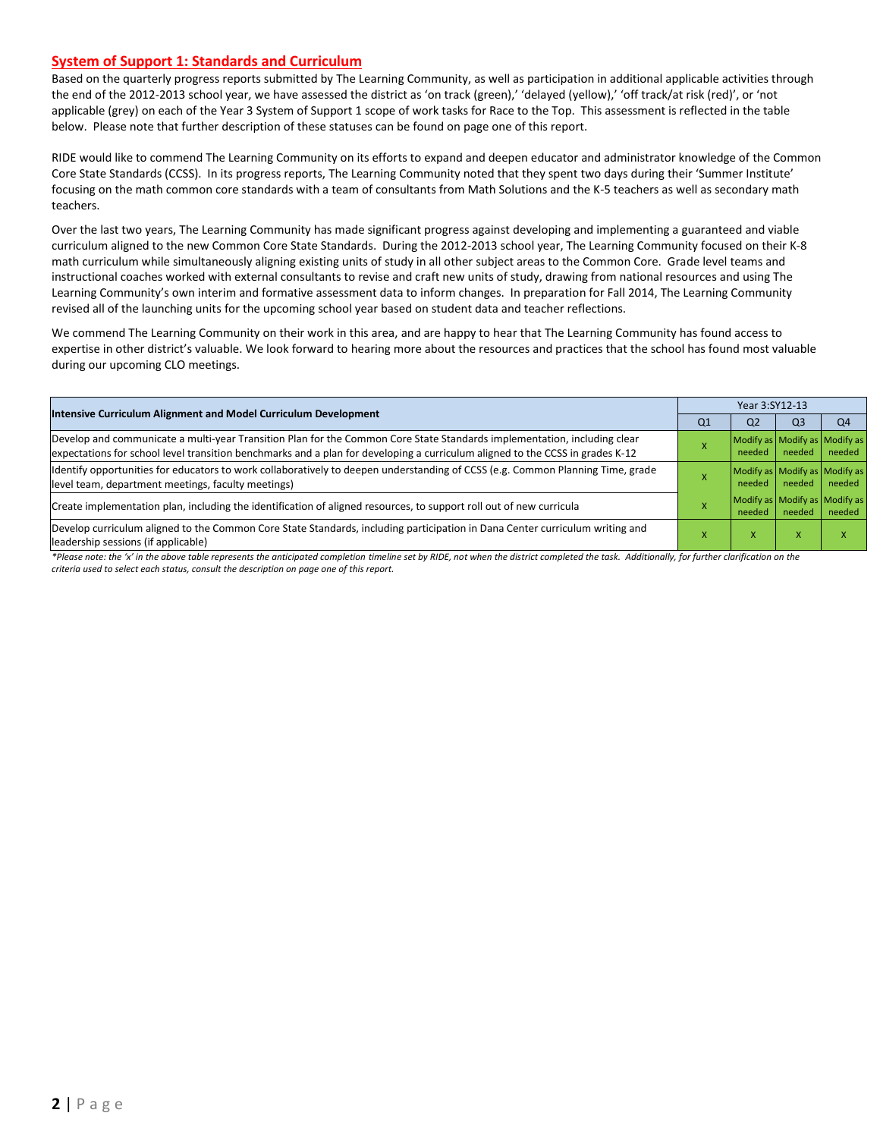#### **System of Support 1: Standards and Curriculum**

Based on the quarterly progress reports submitted by The Learning Community, as well as participation in additional applicable activities through the end of the 2012-2013 school year, we have assessed the district as 'on track (green),' 'delayed (yellow),' 'off track/at risk (red)', or 'not applicable (grey) on each of the Year 3 System of Support 1 scope of work tasks for Race to the Top. This assessment is reflected in the table below. Please note that further description of these statuses can be found on page one of this report.

RIDE would like to commend The Learning Community on its efforts to expand and deepen educator and administrator knowledge of the Common Core State Standards (CCSS). In its progress reports, The Learning Community noted that they spent two days during their 'Summer Institute' focusing on the math common core standards with a team of consultants from Math Solutions and the K-5 teachers as well as secondary math teachers.

Over the last two years, The Learning Community has made significant progress against developing and implementing a guaranteed and viable curriculum aligned to the new Common Core State Standards. During the 2012-2013 school year, The Learning Community focused on their K-8 math curriculum while simultaneously aligning existing units of study in all other subject areas to the Common Core. Grade level teams and instructional coaches worked with external consultants to revise and craft new units of study, drawing from national resources and using The Learning Community's own interim and formative assessment data to inform changes. In preparation for Fall 2014, The Learning Community revised all of the launching units for the upcoming school year based on student data and teacher reflections.

We commend The Learning Community on their work in this area, and are happy to hear that The Learning Community has found access to expertise in other district's valuable. We look forward to hearing more about the resources and practices that the school has found most valuable during our upcoming CLO meetings.

| Intensive Curriculum Alignment and Model Curriculum Development                                                                                                                                                                                           |    | Year 3:SY12-13                          |        |        |  |  |
|-----------------------------------------------------------------------------------------------------------------------------------------------------------------------------------------------------------------------------------------------------------|----|-----------------------------------------|--------|--------|--|--|
|                                                                                                                                                                                                                                                           | Q1 | Q <sub>2</sub>                          | Q3     | Q4     |  |  |
| Develop and communicate a multi-year Transition Plan for the Common Core State Standards implementation, including clear<br>expectations for school level transition benchmarks and a plan for developing a curriculum aligned to the CCSS in grades K-12 |    | Modify as Modify as Modify as<br>needed | needed | needed |  |  |
| Identify opportunities for educators to work collaboratively to deepen understanding of CCSS (e.g. Common Planning Time, grade<br>level team, department meetings, faculty meetings)                                                                      |    | Modify as Modify as Modify as<br>needed | needed | needed |  |  |
| Create implementation plan, including the identification of aligned resources, to support roll out of new curricula                                                                                                                                       |    | Modify as Modify as Modify as<br>needed | needed | needed |  |  |
| Develop curriculum aligned to the Common Core State Standards, including participation in Dana Center curriculum writing and<br>leadership sessions (if applicable)                                                                                       |    | v                                       |        |        |  |  |

\*Please note: the 'x' in the above table represents the anticipated completion timeline set by RIDE, not when the district completed the task. Additionally, for further clarification on the *criteria used to select each status, consult the description on page one of this report.*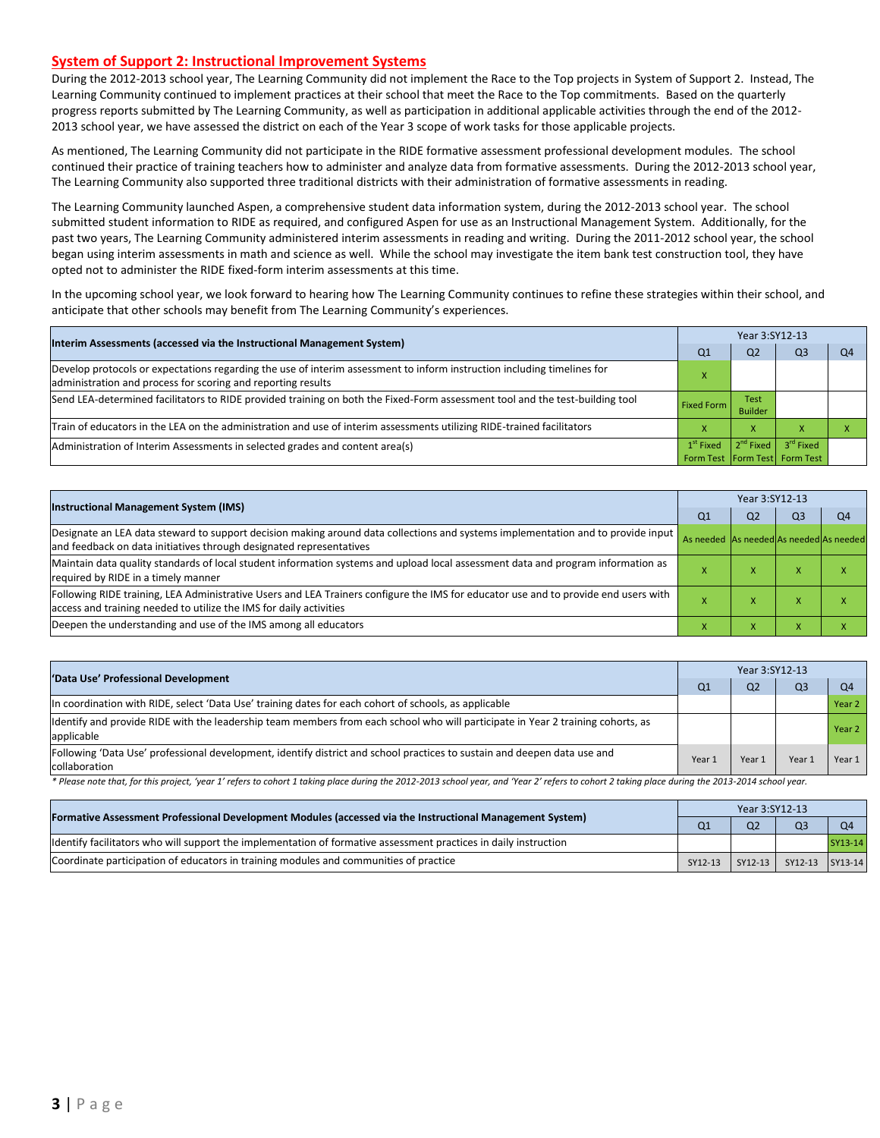#### **System of Support 2: Instructional Improvement Systems**

During the 2012-2013 school year, The Learning Community did not implement the Race to the Top projects in System of Support 2. Instead, The Learning Community continued to implement practices at their school that meet the Race to the Top commitments. Based on the quarterly progress reports submitted by The Learning Community, as well as participation in additional applicable activities through the end of the 2012- 2013 school year, we have assessed the district on each of the Year 3 scope of work tasks for those applicable projects.

As mentioned, The Learning Community did not participate in the RIDE formative assessment professional development modules. The school continued their practice of training teachers how to administer and analyze data from formative assessments. During the 2012-2013 school year, The Learning Community also supported three traditional districts with their administration of formative assessments in reading.

The Learning Community launched Aspen, a comprehensive student data information system, during the 2012-2013 school year. The school submitted student information to RIDE as required, and configured Aspen for use as an Instructional Management System. Additionally, for the past two years, The Learning Community administered interim assessments in reading and writing. During the 2011-2012 school year, the school began using interim assessments in math and science as well. While the school may investigate the item bank test construction tool, they have opted not to administer the RIDE fixed-form interim assessments at this time.

In the upcoming school year, we look forward to hearing how The Learning Community continues to refine these strategies within their school, and anticipate that other schools may benefit from The Learning Community's experiences.

| Interim Assessments (accessed via the Instructional Management System)                                                                                                                  | Year 3:SY12-13                  |                               |                                              |                |  |  |
|-----------------------------------------------------------------------------------------------------------------------------------------------------------------------------------------|---------------------------------|-------------------------------|----------------------------------------------|----------------|--|--|
|                                                                                                                                                                                         | Q <sub>1</sub>                  | Q <sub>2</sub>                | Q <sub>3</sub>                               | O <sub>4</sub> |  |  |
| Develop protocols or expectations regarding the use of interim assessment to inform instruction including timelines for<br>administration and process for scoring and reporting results |                                 |                               |                                              |                |  |  |
| Send LEA-determined facilitators to RIDE provided training on both the Fixed-Form assessment tool and the test-building tool                                                            | <b>Fixed Form</b>               | <b>Test</b><br><b>Builder</b> |                                              |                |  |  |
| Train of educators in the LEA on the administration and use of interim assessments utilizing RIDE-trained facilitators                                                                  |                                 | x                             |                                              |                |  |  |
| Administration of Interim Assessments in selected grades and content area(s)                                                                                                            | $1st$ Fixed<br><b>Form Test</b> | $2^{nd}$ Fixed                | 3 <sup>rd</sup> Fixed<br>Form Test Form Test |                |  |  |

| <b>Instructional Management System (IMS)</b>                                                                                                                                                              | Year 3:SY12-13                          |                |                |                           |  |  |
|-----------------------------------------------------------------------------------------------------------------------------------------------------------------------------------------------------------|-----------------------------------------|----------------|----------------|---------------------------|--|--|
|                                                                                                                                                                                                           | Q <sub>1</sub>                          | Q <sub>2</sub> | Q <sub>3</sub> | Q <sub>4</sub>            |  |  |
| Designate an LEA data steward to support decision making around data collections and systems implementation and to provide input  <br>and feedback on data initiatives through designated representatives | As needed As needed As needed As needed |                |                |                           |  |  |
| Maintain data quality standards of local student information systems and upload local assessment data and program information as<br>required by RIDE in a timely manner                                   |                                         | ⋏              | $\mathbf{v}$   | $\lambda$                 |  |  |
| Following RIDE training, LEA Administrative Users and LEA Trainers configure the IMS for educator use and to provide end users with<br>access and training needed to utilize the IMS for daily activities |                                         | ́              | $\mathbf{v}$   | $\lambda$                 |  |  |
| Deepen the understanding and use of the IMS among all educators                                                                                                                                           |                                         | л              | $\mathbf{A}$   | $\checkmark$<br>$\lambda$ |  |  |

| 'Data Use' Professional Development                                                                                                           |                | Year 3:SY12-13 |                |                |  |  |
|-----------------------------------------------------------------------------------------------------------------------------------------------|----------------|----------------|----------------|----------------|--|--|
|                                                                                                                                               | Q <sub>1</sub> | Q <sub>2</sub> | Q <sub>3</sub> | Q <sub>4</sub> |  |  |
| In coordination with RIDE, select 'Data Use' training dates for each cohort of schools, as applicable                                         |                |                |                | Year 2         |  |  |
| Identify and provide RIDE with the leadership team members from each school who will participate in Year 2 training cohorts, as<br>applicable |                |                |                | Year 2         |  |  |
| Following 'Data Use' professional development, identify district and school practices to sustain and deepen data use and<br>collaboration     | Year 1         | Year 1         | Year 1         | Year 1         |  |  |

Please note that, for this project, 'year 1' refers to cohort 1 taking place during the 2012-2013 school year, and 'Year 2' refers to cohort 2 taking place during the 2013-2014 school year.

| [Formative Assessment Professional Development Modules (accessed via the Instructional Management System)         |         | Year 3:SY12-13 |                 |         |  |  |  |
|-------------------------------------------------------------------------------------------------------------------|---------|----------------|-----------------|---------|--|--|--|
|                                                                                                                   |         | Q <sub>2</sub> |                 |         |  |  |  |
| Ildentify facilitators who will support the implementation of formative assessment practices in daily instruction |         |                |                 | SY13-14 |  |  |  |
| Coordinate participation of educators in training modules and communities of practice                             | SY12-13 | $SY12-13$      | SY12-13 SY13-14 |         |  |  |  |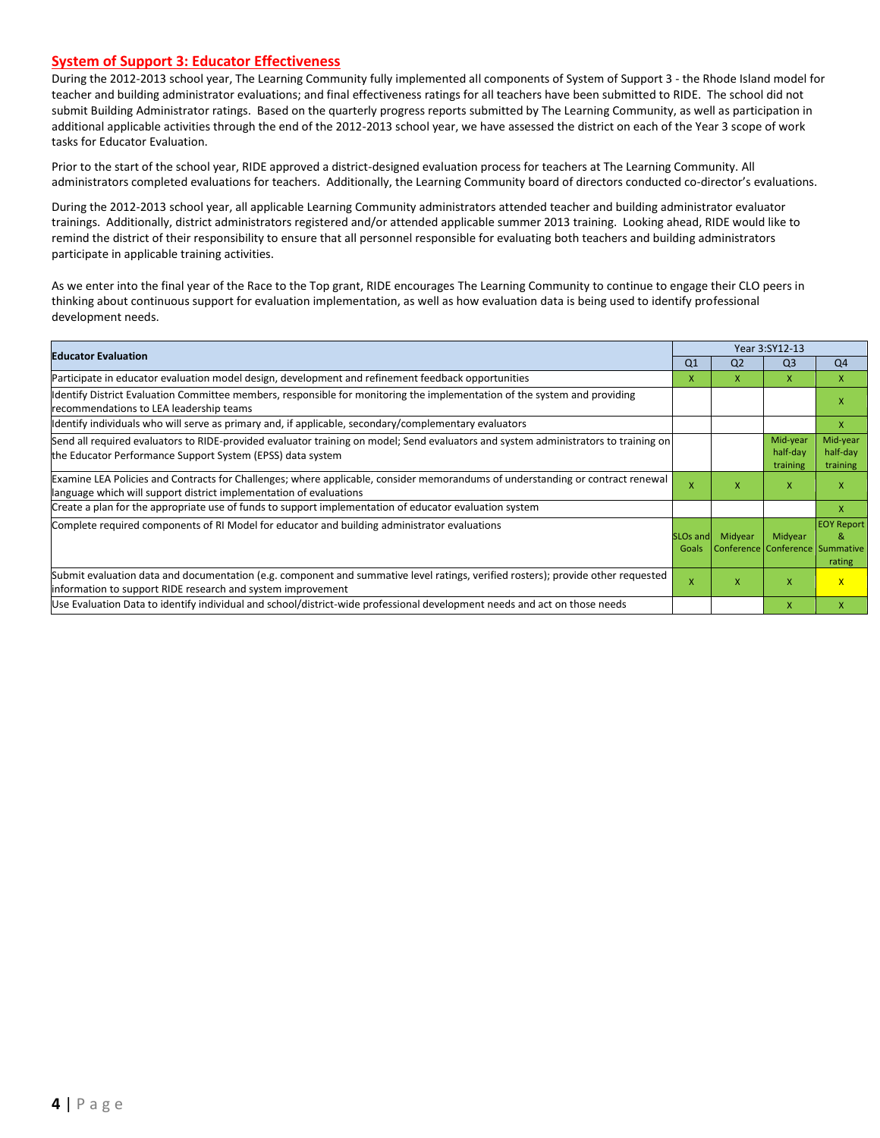#### **System of Support 3: Educator Effectiveness**

During the 2012-2013 school year, The Learning Community fully implemented all components of System of Support 3 - the Rhode Island model for teacher and building administrator evaluations; and final effectiveness ratings for all teachers have been submitted to RIDE. The school did not submit Building Administrator ratings. Based on the quarterly progress reports submitted by The Learning Community, as well as participation in additional applicable activities through the end of the 2012-2013 school year, we have assessed the district on each of the Year 3 scope of work tasks for Educator Evaluation.

Prior to the start of the school year, RIDE approved a district-designed evaluation process for teachers at The Learning Community. All administrators completed evaluations for teachers. Additionally, the Learning Community board of directors conducted co-director's evaluations.

During the 2012-2013 school year, all applicable Learning Community administrators attended teacher and building administrator evaluator trainings. Additionally, district administrators registered and/or attended applicable summer 2013 training. Looking ahead, RIDE would like to remind the district of their responsibility to ensure that all personnel responsible for evaluating both teachers and building administrators participate in applicable training activities.

As we enter into the final year of the Race to the Top grant, RIDE encourages The Learning Community to continue to engage their CLO peers in thinking about continuous support for evaluation implementation, as well as how evaluation data is being used to identify professional development needs.

|                                                                                                                                                                                                      |                               | Year 3:SY12-13 |                                            |                                  |  |  |
|------------------------------------------------------------------------------------------------------------------------------------------------------------------------------------------------------|-------------------------------|----------------|--------------------------------------------|----------------------------------|--|--|
| <b>Educator Evaluation</b>                                                                                                                                                                           | Q <sub>1</sub>                | Q <sub>2</sub> | Q <sub>3</sub>                             | Q4                               |  |  |
| Participate in educator evaluation model design, development and refinement feedback opportunities                                                                                                   | x                             | x              | X                                          | X                                |  |  |
| Identify District Evaluation Committee members, responsible for monitoring the implementation of the system and providing<br>recommendations to LEA leadership teams                                 |                               |                |                                            | x                                |  |  |
| Identify individuals who will serve as primary and, if applicable, secondary/complementary evaluators                                                                                                |                               |                |                                            | X                                |  |  |
| Send all required evaluators to RIDE-provided evaluator training on model; Send evaluators and system administrators to training on<br>the Educator Performance Support System (EPSS) data system    |                               |                | Mid-year<br>half-day<br>training           | Mid-year<br>half-day<br>training |  |  |
| Examine LEA Policies and Contracts for Challenges; where applicable, consider memorandums of understanding or contract renewal<br>language which will support district implementation of evaluations | X                             | x              | X                                          | X                                |  |  |
| Create a plan for the appropriate use of funds to support implementation of educator evaluation system                                                                                               |                               |                |                                            | x                                |  |  |
| Complete required components of RI Model for educator and building administrator evaluations                                                                                                         | SLO <sub>s</sub> and<br>Goals | Midyear        | Midyear<br>Conference Conference Summative | <b>EOY Report</b><br>&<br>rating |  |  |
| Submit evaluation data and documentation (e.g. component and summative level ratings, verified rosters); provide other requested<br>information to support RIDE research and system improvement      |                               | x              | X                                          | $\mathsf{X}$                     |  |  |
| Use Evaluation Data to identify individual and school/district-wide professional development needs and act on those needs                                                                            |                               |                | $\mathsf{x}$                               | x                                |  |  |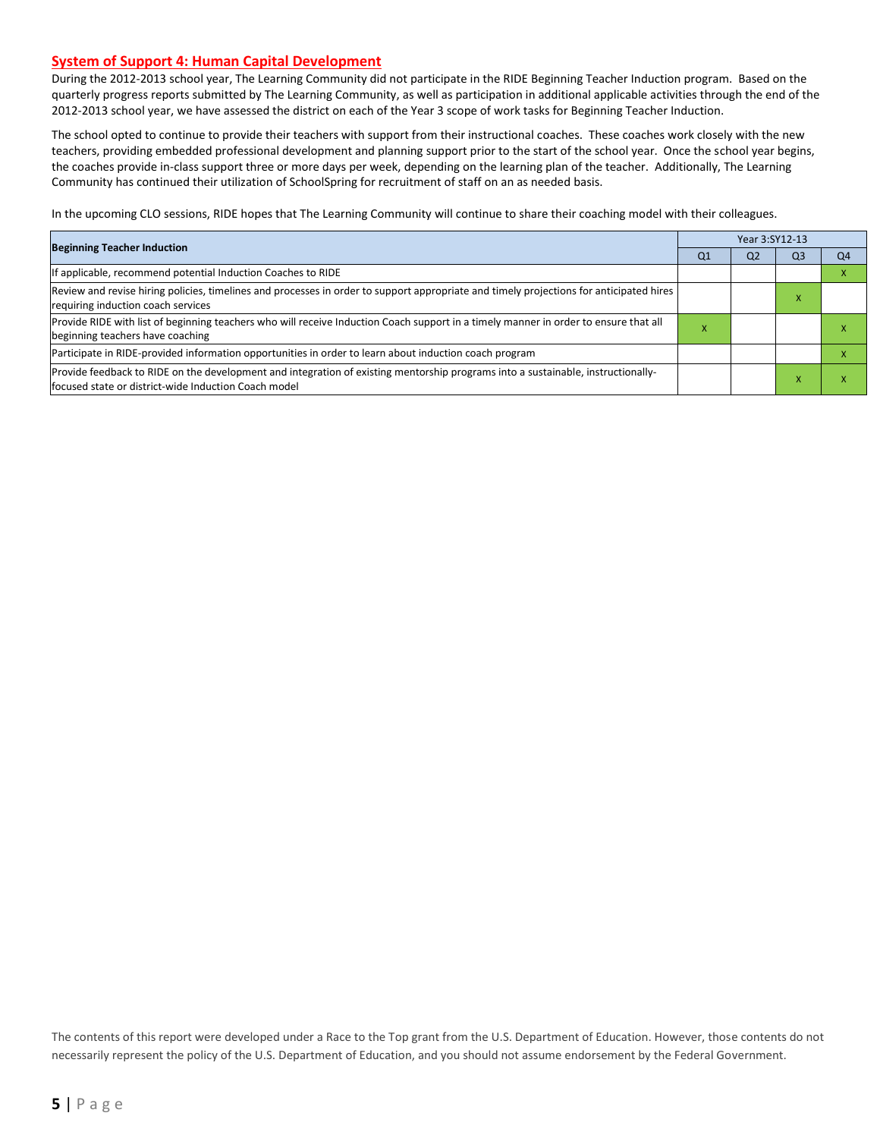#### **System of Support 4: Human Capital Development**

During the 2012-2013 school year, The Learning Community did not participate in the RIDE Beginning Teacher Induction program. Based on the quarterly progress reports submitted by The Learning Community, as well as participation in additional applicable activities through the end of the 2012-2013 school year, we have assessed the district on each of the Year 3 scope of work tasks for Beginning Teacher Induction.

The school opted to continue to provide their teachers with support from their instructional coaches. These coaches work closely with the new teachers, providing embedded professional development and planning support prior to the start of the school year. Once the school year begins, the coaches provide in-class support three or more days per week, depending on the learning plan of the teacher. Additionally, The Learning Community has continued their utilization of SchoolSpring for recruitment of staff on an as needed basis.

In the upcoming CLO sessions, RIDE hopes that The Learning Community will continue to share their coaching model with their colleagues.

| <b>Beginning Teacher Induction</b>                                                                                                                                                       |    | Year 3:SY12-13 |    |    |  |  |  |
|------------------------------------------------------------------------------------------------------------------------------------------------------------------------------------------|----|----------------|----|----|--|--|--|
|                                                                                                                                                                                          | Q1 | Q <sub>2</sub> | Q3 | O4 |  |  |  |
| f applicable, recommend potential Induction Coaches to RIDE                                                                                                                              |    |                |    |    |  |  |  |
| Review and revise hiring policies, timelines and processes in order to support appropriate and timely projections for anticipated hires<br>requiring induction coach services            |    |                | ⋏  |    |  |  |  |
| Provide RIDE with list of beginning teachers who will receive Induction Coach support in a timely manner in order to ensure that all<br>beginning teachers have coaching                 | ж  |                |    |    |  |  |  |
| Participate in RIDE-provided information opportunities in order to learn about induction coach program                                                                                   |    |                |    |    |  |  |  |
| Provide feedback to RIDE on the development and integration of existing mentorship programs into a sustainable, instructionally-<br>focused state or district-wide Induction Coach model |    |                |    |    |  |  |  |

The contents of this report were developed under a Race to the Top grant from the U.S. Department of Education. However, those contents do not necessarily represent the policy of the U.S. Department of Education, and you should not assume endorsement by the Federal Government.